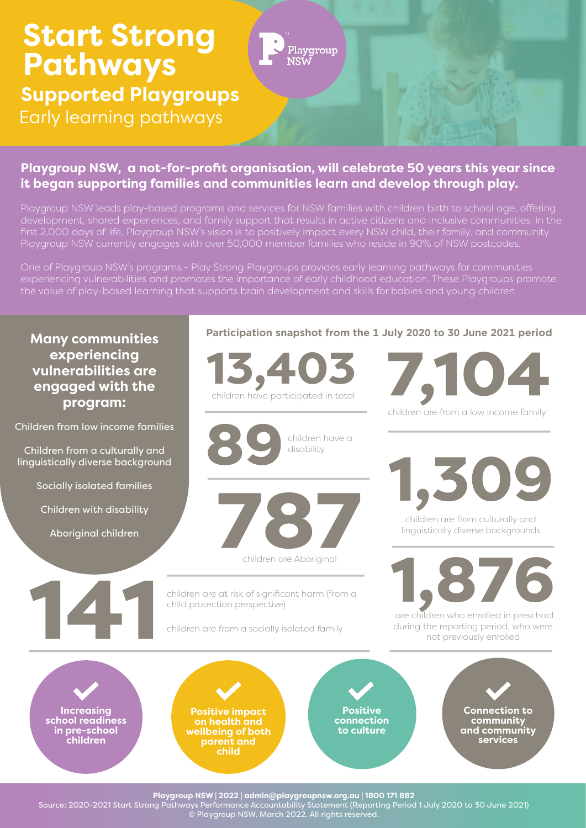## **Start Strong** Playgroup **Pathways NSW Supported Playgroups** Early learning pathways

### **Playgroup NSW, a not-for-profit organisation, will celebrate 50 years this year since it began supporting families and communities learn and develop through play.**

Playgroup NSW leads play-based programs and services for NSW families with children birth to school age, offering first 2,000 days of life, Playgroup NSW's vision is to positively impact every NSW child, their family, and community.

One of Playgroup NSW's programs - Play Strong Playgroups provides early learning pathways for communities experiencing vulnerabilities and promotes the importance of early childhood education. These Playgroups promote

**Many communities experiencing vulnerabilities are engaged with the program:**

Children from low income families

Children from a culturally and linguistically diverse background

Socially isolated families

Children with disability

Aboriginal children

#### **Participation snapshot from the 1 July 2020 to 30 June 2021 period**



children have a disability



children are at risk of significant harm (from a child protection perspective)

children are from a socially isolated family

children are from a low income family



children are from culturally and linguistically diverse backgrounds



 are children who enrolled in preschool during the reporting period, who were not previously enrolled

**Increasing school readiness in pre-school children**

**Positive impact on health and wellbeing of both parent and child** 

**Positive connection to culture**

**Connection to community and community services**

**Playgroup NSW | 2022 | admin@playgroupnsw.org.au | 1800 171 882** 

Source: 2020-2021 Start Strong Pathways Performance Accountability Statement (Reporting Period 1 July 2020 to 30 June 2021) © Playgroup NSW, March 2022. All rights reserved.